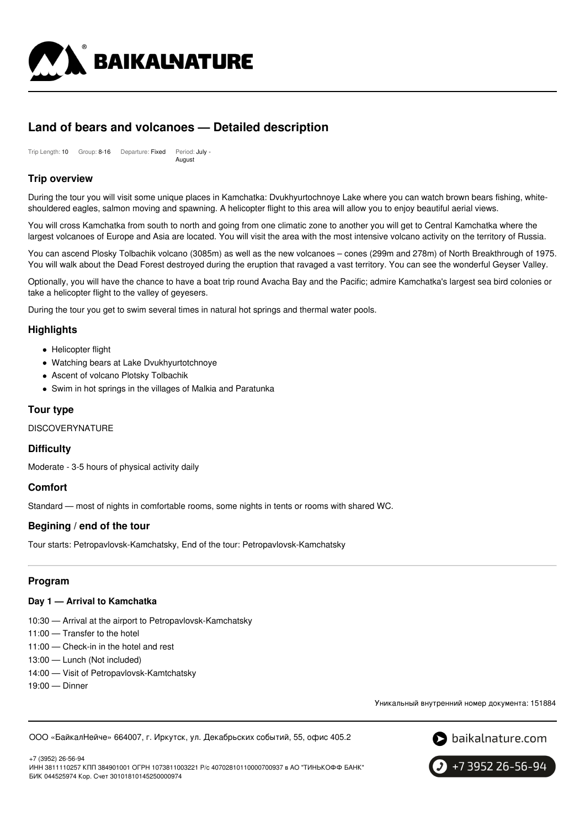

# **Land of bears and volcanoes — Detailed description**

Trip Length: 10 Group: 8-16 Departure: Fixed Period: July - August

# **Trip overview**

During the tour you will visit some unique places in Kamchatka: Dvukhyurtochnoye Lake where you can watch brown bears fishing, whiteshouldered eagles, salmon moving and spawning. A helicopter flight to this area will allow you to enjoy beautiful aerial views.

You will cross Kamchatka from south to north and going from one climatic zone to another you will get to Central Kamchatka where the largest volcanoes of Europe and Asia are located. You will visit the area with the most intensive volcano activity on the territory of Russia.

You can ascend Plosky Tolbachik volcano (3085m) as well as the new volcanoes – cones (299m and 278m) of North Breakthrough of 1975. You will walk about the Dead Forest destroyed during the eruption that ravaged a vast territory. You can see the wonderful Geyser Valley.

Optionally, you will have the chance to have a boat trip round Avacha Bay and the Pacific; admire Kamchatka's largest sea bird colonies or take a helicopter flight to the valley of geyesers.

During the tour you get to swim several times in natural hot springs and thermal water pools.

# **Highlights**

- Helicopter flight
- Watching bears at Lake Dvukhyurtotchnoye
- Ascent of volcano Plotsky Tolbachik
- Swim in hot springs in the villages of Malkia and Paratunka

# **Tour type**

**DISCOVERYNATURE** 

## **Difficulty**

Moderate - 3-5 hours of physical activity daily

## **Comfort**

Standard — most of nights in comfortable rooms, some nights in tents or rooms with shared WC.

## **Begining / end of the tour**

Tour starts: Petropavlovsk-Kamchatsky, End of the tour: Petropavlovsk-Kamchatsky

## **Program**

### **Day 1 — Arrival to Kamchatka**

- 10:30 Arrival at the airport to Petropavlovsk-Kamchatsky
- 11:00 Transfer to the hotel
- 11:00 Check-in in the hotel and rest
- 13:00 Lunch (Not included)
- 14:00 Visit of Petropavlovsk-Kamtchatsky
- 19:00 Dinner

Уникальный внутренний номер документа: 151884

ООО «БайкалНейче» 664007, г. Иркутск, ул. Декабрьских событий, 55, офис 405.2



+7 (3952) 26-56-94 ИНН 3811110257 КПП 384901001 ОГРН 1073811003221 Р/с 40702810110000700937 в АО "ТИНЬКОФФ БАНК" БИК 044525974 Кор. Счет 30101810145250000974

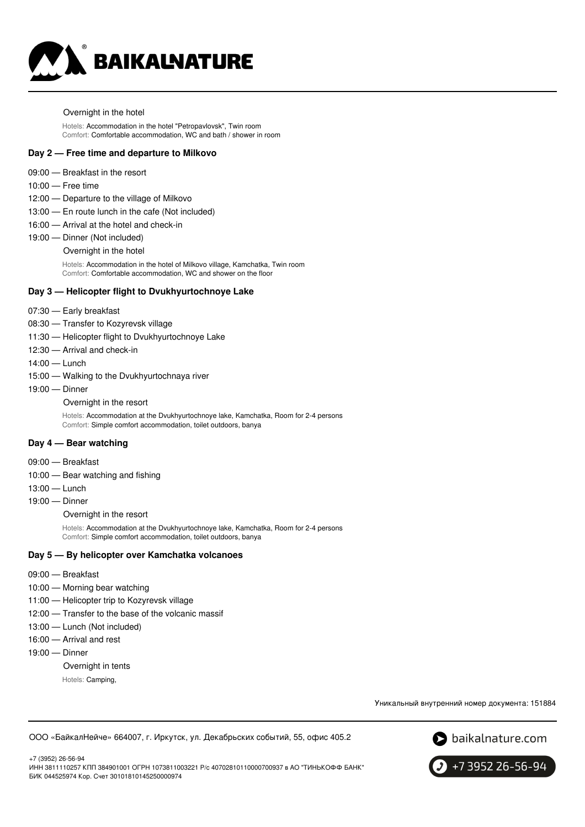

#### Overnight in the hotel

Hotels: Accommodation in the hotel "Petropavlovsk", Twin room Comfort: Comfortable accommodation, WC and bath / shower in room

#### **Day 2 — Free time and departure to Milkovo**

- 09:00 Breakfast in the resort
- 10:00 Free time
- 12:00 Departure to the village of Milkovo
- 13:00 En route lunch in the cafe (Not included)
- 16:00 Arrival at the hotel and check-in
- 19:00 Dinner (Not included)

#### Overnight in the hotel

Hotels: Accommodation in the hotel of Milkovo village, Kamchatka, Twin room Comfort: Comfortable accommodation, WC and shower on the floor

### **Day 3 — Helicopter flight to Dvukhyurtochnoye Lake**

- 07:30 Early breakfast
- 08:30 Transfer to Kozyrevsk village
- 11:30 Helicopter flight to Dvukhyurtochnoye Lake
- 12:30 Arrival and check-in
- 14:00 Lunch
- 15:00 Walking to the Dvukhyurtochnaya river
- 19:00 Dinner
	- Overnight in the resort

Hotels: Accommodation at the Dvukhyurtochnoye lake, Kamchatka, Room for 2-4 persons Comfort: Simple comfort accommodation, toilet outdoors, banya

#### **Day 4 — Bear watching**

- 09:00 Breakfast
- 10:00 Bear watching and fishing
- 13:00 Lunch
- 19:00 Dinner

Overnight in the resort

Hotels: Accommodation at the Dvukhyurtochnoye lake, Kamchatka, Room for 2-4 persons Comfort: Simple comfort accommodation, toilet outdoors, banya

#### **Day 5 — By helicopter over Kamchatka volcanoes**

- 09:00 Breakfast
- 10:00 Morning bear watching
- 11:00 Helicopter trip to Kozyrevsk village
- 12:00 Transfer to the base of the volcanic massif
- 13:00 Lunch (Not included)
- 16:00 Arrival and rest
- 19:00 Dinner
	- Overnight in tents
		- Hotels: Camping,

Уникальный внутренний номер документа: 151884

ООО «БайкалНейче» 664007, г. Иркутск, ул. Декабрьских событий, 55, офис 405.2





+7 3952 26-56-94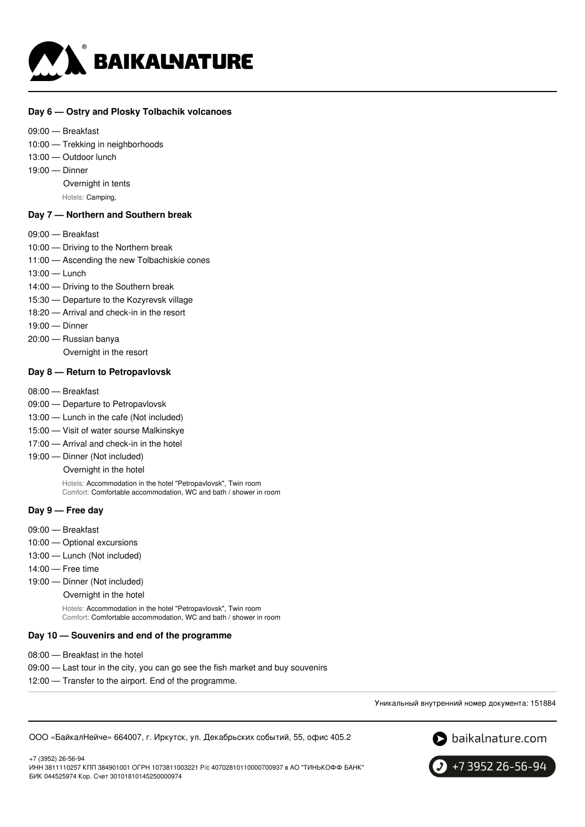

### **Day 6 — Ostry and Plosky Tolbachik volcanoes**

- 09:00 Breakfast
- 10:00 Trekking in neighborhoods
- 13:00 Outdoor lunch
- 19:00 Dinner

Overnight in tents

Hotels: Camping,

### **Day 7 — Northern and Southern break**

- 09:00 Breakfast
- 10:00 Driving to the Northern break
- 11:00 Ascending the new Tolbachiskie cones
- 13:00 Lunch
- 14:00 Driving to the Southern break
- 15:30 Departure to the Kozyrevsk village
- 18:20 Arrival and check-in in the resort
- 19:00 Dinner
- 20:00 Russian banya
	- Overnight in the resort

### **Day 8 — Return to Petropavlovsk**

- 08:00 Breakfast
- 09:00 Departure to Petropavlovsk
- 13:00 Lunch in the cafe (Not included)
- 15:00 Visit of water sourse Malkinskye
- 17:00 Arrival and check-in in the hotel
- 19:00 Dinner (Not included)
	- Overnight in the hotel

Hotels: Accommodation in the hotel "Petropavlovsk", Twin room Comfort: Comfortable accommodation, WC and bath / shower in room

# **Day 9 — Free day**

- 09:00 Breakfast
- 10:00 Optional excursions
- 13:00 Lunch (Not included)
- 14:00 Free time
- 19:00 Dinner (Not included)
	- Overnight in the hotel

Hotels: Accommodation in the hotel "Petropavlovsk", Twin room Comfort: Comfortable accommodation, WC and bath / shower in room

### **Day 10 — Souvenirs and end of the programme**

- 08:00 Breakfast in the hotel
- 09:00 Last tour in the city, you can go see the fish market and buy souvenirs
- 12:00 Transfer to the airport. End of the programme.

Уникальный внутренний номер документа: 151884

ООО «БайкалНейче» 664007, г. Иркутск, ул. Декабрьских событий, 55, офис 405.2



+7 (3952) 26-56-94

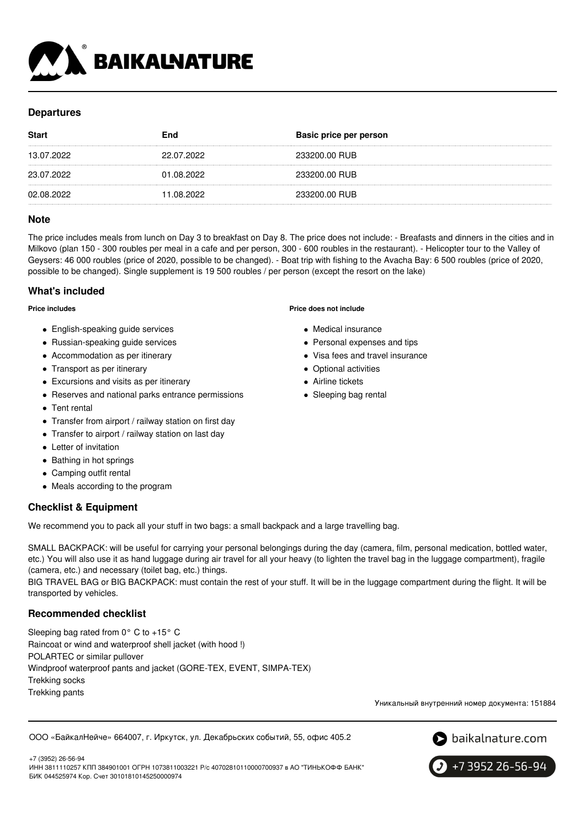

# **Departures**

| <b>Start</b> | End        | <b>Basic price per person</b> |
|--------------|------------|-------------------------------|
| 13.07.2022   | 22.07.2022 | 233200.00 RUB                 |
| 23.07.2022   | 01.08.2022 | 233200.00 RUB                 |
| 02.08.2022   | 1.08.2022  | 233200.00 RUB                 |

# **Note**

The price includes meals from lunch on Day 3 to breakfast on Day 8. The price does not include: - Breafasts and dinners in the cities and in Milkovo (plan 150 - 300 roubles per meal in a cafe and per person, 300 - 600 roubles in the restaurant). - Helicopter tour to the Valley of Geysers: 46 000 roubles (price of 2020, possible to be changed). - Boat trip with fishing to the Avacha Bay: 6 500 roubles (price of 2020, possible to be changed). Single supplement is 19 500 roubles / per person (except the resort on the lake)

## **What's included**

**Price includes**

- English-speaking quide services
- Russian-speaking quide services
- Accommodation as per itinerary
- Transport as per itinerary
- Excursions and visits as per itinerary
- Reserves and national parks entrance permissions
- Tent rental
- Transfer from airport / railway station on first day
- Transfer to airport / railway station on last day
- Letter of invitation
- Bathing in hot springs
- Camping outfit rental
- Meals according to the program

# **Checklist & Equipment**

We recommend you to pack all your stuff in two bags: a small backpack and a large travelling bag.

SMALL BACKPACK: will be useful for carrying your personal belongings during the day (camera, film, personal medication, bottled water, etc.) You will also use it as hand luggage during air travel for all your heavy (to lighten the travel bag in the luggage compartment), fragile (camera, etc.) and necessary (toilet bag, etc.) things.

BIG TRAVEL BAG or BIG BACKPACK: must contain the rest of your stuff. It will be in the luggage compartment during the flight. It will be transported by vehicles.

# **Recommended checklist**

Sleeping bag rated from 0° C to +15° C Raincoat or wind and waterproof shell jacket (with hood !) POLARTEC or similar pullover Windproof waterproof pants and jacket (GORE-TEX, EVENT, SIMPA-TEX) Trekking socks Trekking pants

Уникальный внутренний номер документа: 151884

### ООО «БайкалНейче» 664007, г. Иркутск, ул. Декабрьских событий, 55, офис 405.2



+7 3952 26-56-94

+7 (3952) 26-56-94 ИНН 3811110257 КПП 384901001 ОГРН 1073811003221 Р/с 40702810110000700937 в АО "ТИНЬКОФФ БАНК" БИК 044525974 Кор. Счет 30101810145250000974

#### **Price does not include**

- Medical insurance
- Personal expenses and tips
- Visa fees and travel insurance
- Optional activities
- Airline tickets
- Sleeping bag rental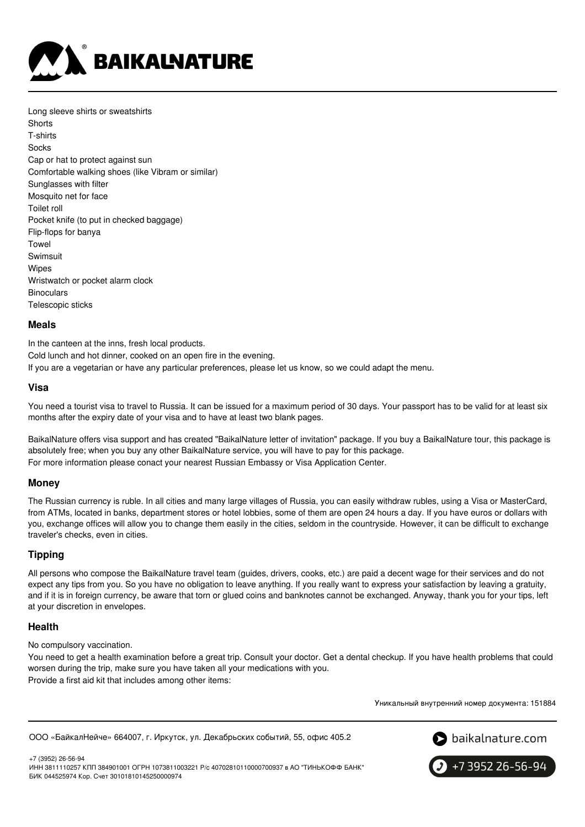

Long sleeve shirts or sweatshirts **Shorts** T-shirts **Socks** Cap or hat to protect against sun Comfortable walking shoes (like Vibram or similar) Sunglasses with filter Mosquito net for face Toilet roll Pocket knife (to put in checked baggage) Flip-flops for banya Towel Swimsuit Wipes Wristwatch or pocket alarm clock **Binoculars** Telescopic sticks

### **Meals**

In the canteen at the inns, fresh local products. Cold lunch and hot dinner, cooked on an open fire in the evening. If you are a vegetarian or have any particular preferences, please let us know, so we could adapt the menu.

### **Visa**

You need a tourist visa to travel to Russia. It can be issued for a maximum period of 30 days. Your passport has to be valid for at least six months after the expiry date of your visa and to have at least two blank pages.

BaikalNature offers visa support and has created "BaikalNature letter of invitation" package. If you buy a BaikalNature tour, this package is absolutely free; when you buy any other BaikalNature service, you will have to pay for this package. For more information please conact your nearest Russian Embassy or Visa Application Center.

### **Money**

The Russian currency is ruble. In all cities and many large villages of Russia, you can easily withdraw rubles, using a Visa or MasterCard, from ATMs, located in banks, department stores or hotel lobbies, some of them are open 24 hours a day. If you have euros or dollars with you, exchange offices will allow you to change them easily in the cities, seldom in the countryside. However, it can be difficult to exchange traveler's checks, even in cities.

## **Tipping**

All persons who compose the BaikalNature travel team (guides, drivers, cooks, etc.) are paid a decent wage for their services and do not expect any tips from you. So you have no obligation to leave anything. If you really want to express your satisfaction by leaving a gratuity, and if it is in foreign currency, be aware that torn or glued coins and banknotes cannot be exchanged. Anyway, thank you for your tips, left at your discretion in envelopes.

## **Health**

### No compulsory vaccination.

You need to get a health examination before a great trip. Consult your doctor. Get a dental checkup. If you have health problems that could worsen during the trip, make sure you have taken all your medications with you. Provide a first aid kit that includes among other items:

Уникальный внутренний номер документа: 151884

```
ООО «БайкалНейче» 664007, г. Иркутск, ул. Декабрьских событий, 55, офис 405.2
```


+7 (3952) 26-56-94 ИНН 3811110257 КПП 384901001 ОГРН 1073811003221 Р/с 40702810110000700937 в АО "ТИНЬКОФФ БАНК" БИК 044525974 Кор. Счет 30101810145250000974